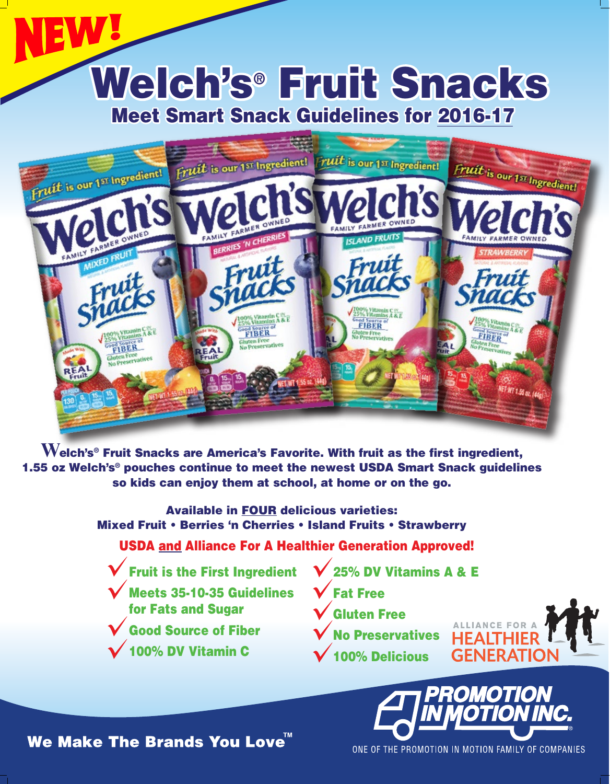## Meet Smart Snack Guidelines for 2016-17 Welch's® Fruit Snacks



**W**elch's® Fruit Snacks are America's Favorite. With fruit as the first ingredient, 1.55 oz Welch's® pouches continue to meet the newest USDA Smart Snack guidelines so kids can enjoy them at school, at home or on the go.

> Available in FOUR delicious varieties: Mixed Fruit • Berries 'n Cherries • Island Fruits • Strawberry

USDA and Alliance For A Healthier Generation Approved!

Fruit is the First Ingredient

Meets 35-10-35 Guidelines for Fats and Sugar

Good Source of Fiber

100% DV Vitamin C

25% DV Vitamins A & E

Fat Free

Gluten Free

No Preservatives 100% Delicious



**GENERA** 

We Make The Brands You Love<sup>™</sup>

ONE OF THE PROMOTION IN MOTION FAMILY OF COMPANIES